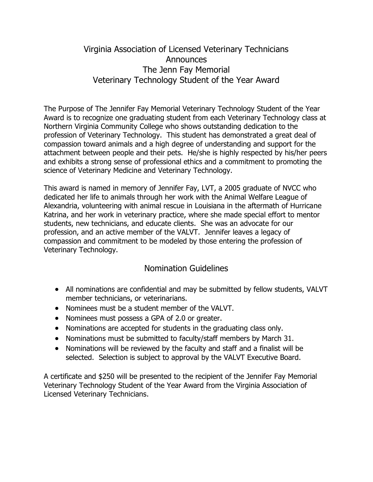## Virginia Association of Licensed Veterinary Technicians **Announces** The Jenn Fay Memorial Veterinary Technology Student of the Year Award

The Purpose of The Jennifer Fay Memorial Veterinary Technology Student of the Year Award is to recognize one graduating student from each Veterinary Technology class at Northern Virginia Community College who shows outstanding dedication to the profession of Veterinary Technology. This student has demonstrated a great deal of compassion toward animals and a high degree of understanding and support for the attachment between people and their pets. He/she is highly respected by his/her peers and exhibits a strong sense of professional ethics and a commitment to promoting the science of Veterinary Medicine and Veterinary Technology.

This award is named in memory of Jennifer Fay, LVT, a 2005 graduate of NVCC who dedicated her life to animals through her work with the Animal Welfare League of Alexandria, volunteering with animal rescue in Louisiana in the aftermath of Hurricane Katrina, and her work in veterinary practice, where she made special effort to mentor students, new technicians, and educate clients. She was an advocate for our profession, and an active member of the VALVT. Jennifer leaves a legacy of compassion and commitment to be modeled by those entering the profession of Veterinary Technology.

## Nomination Guidelines

- All nominations are confidential and may be submitted by fellow students, VALVT member technicians, or veterinarians.
- Nominees must be a student member of the VALVT.
- Nominees must possess a GPA of 2.0 or greater.
- Nominations are accepted for students in the graduating class only.
- Nominations must be submitted to faculty/staff members by March 31.
- Nominations will be reviewed by the faculty and staff and a finalist will be selected. Selection is subject to approval by the VALVT Executive Board.

A certificate and \$250 will be presented to the recipient of the Jennifer Fay Memorial Veterinary Technology Student of the Year Award from the Virginia Association of Licensed Veterinary Technicians.